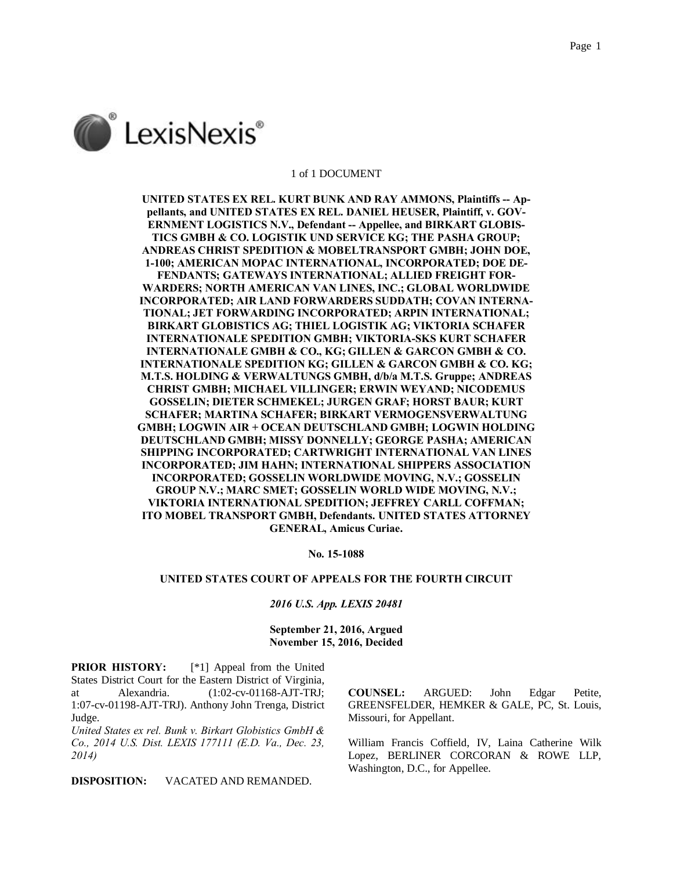

### 1 of 1 DOCUMENT

**UNITED STATES EX REL. KURT BUNK AND RAY AMMONS, Plaintiffs -- Appellants, and UNITED STATES EX REL. DANIEL HEUSER, Plaintiff, v. GOV-ERNMENT LOGISTICS N.V., Defendant -- Appellee, and BIRKART GLOBIS-TICS GMBH & CO. LOGISTIK UND SERVICE KG; THE PASHA GROUP; ANDREAS CHRIST SPEDITION & MOBELTRANSPORT GMBH; JOHN DOE, 1-100; AMERICAN MOPAC INTERNATIONAL, INCORPORATED; DOE DE-FENDANTS; GATEWAYS INTERNATIONAL; ALLIED FREIGHT FOR-WARDERS; NORTH AMERICAN VAN LINES, INC.; GLOBAL WORLDWIDE INCORPORATED; AIR LAND FORWARDERS SUDDATH; COVAN INTERNA-TIONAL; JET FORWARDING INCORPORATED; ARPIN INTERNATIONAL; BIRKART GLOBISTICS AG; THIEL LOGISTIK AG; VIKTORIA SCHAFER INTERNATIONALE SPEDITION GMBH; VIKTORIA-SKS KURT SCHAFER INTERNATIONALE GMBH & CO., KG; GILLEN & GARCON GMBH & CO. INTERNATIONALE SPEDITION KG; GILLEN & GARCON GMBH & CO. KG; M.T.S. HOLDING & VERWALTUNGS GMBH, d/b/a M.T.S. Gruppe; ANDREAS CHRIST GMBH; MICHAEL VILLINGER; ERWIN WEYAND; NICODEMUS GOSSELIN; DIETER SCHMEKEL; JURGEN GRAF; HORST BAUR; KURT SCHAFER; MARTINA SCHAFER; BIRKART VERMOGENSVERWALTUNG GMBH; LOGWIN AIR + OCEAN DEUTSCHLAND GMBH; LOGWIN HOLDING DEUTSCHLAND GMBH; MISSY DONNELLY; GEORGE PASHA; AMERICAN SHIPPING INCORPORATED; CARTWRIGHT INTERNATIONAL VAN LINES INCORPORATED; JIM HAHN; INTERNATIONAL SHIPPERS ASSOCIATION INCORPORATED; GOSSELIN WORLDWIDE MOVING, N.V.; GOSSELIN GROUP N.V.; MARC SMET; GOSSELIN WORLD WIDE MOVING, N.V.; VIKTORIA INTERNATIONAL SPEDITION; JEFFREY CARLL COFFMAN; ITO MOBEL TRANSPORT GMBH, Defendants. UNITED STATES ATTORNEY GENERAL, Amicus Curiae.**

**No. 15-1088**

## **UNITED STATES COURT OF APPEALS FOR THE FOURTH CIRCUIT**

## *2016 U.S. App. LEXIS 20481*

## **September 21, 2016, Argued November 15, 2016, Decided**

**PRIOR HISTORY:** [\*1] Appeal from the United States District Court for the Eastern District of Virginia, at Alexandria. (1:02-cv-01168-AJT-TRJ; 1:07-cv-01198-AJT-TRJ). Anthony John Trenga, District Judge.

*United States ex rel. Bunk v. Birkart Globistics GmbH & Co., 2014 U.S. Dist. LEXIS 177111 (E.D. Va., Dec. 23, 2014)*

**DISPOSITION:** VACATED AND REMANDED.

**COUNSEL:** ARGUED: John Edgar Petite, GREENSFELDER, HEMKER & GALE, PC, St. Louis, Missouri, for Appellant.

William Francis Coffield, IV, Laina Catherine Wilk Lopez, BERLINER CORCORAN & ROWE LLP, Washington, D.C., for Appellee.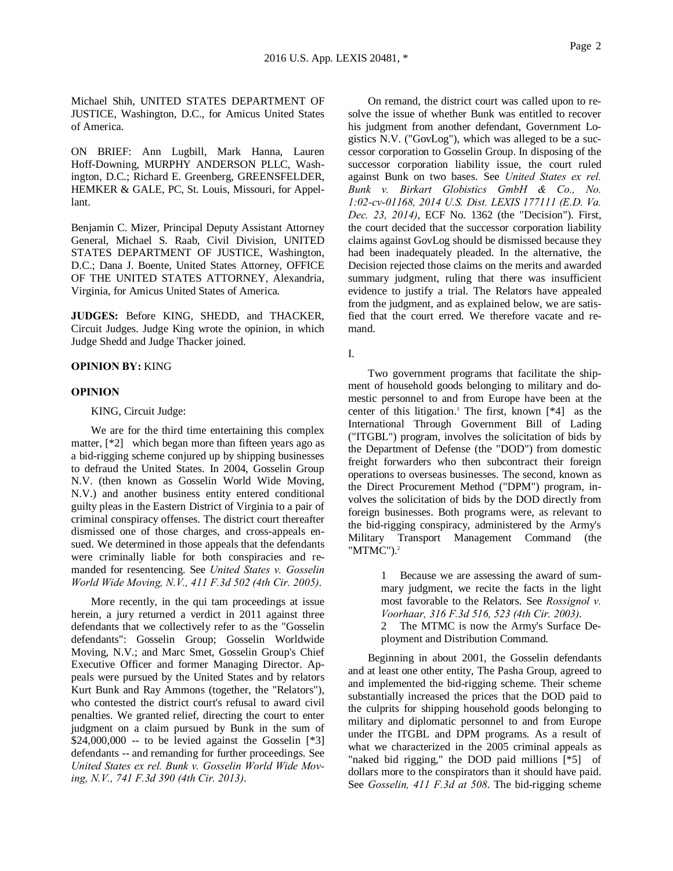Michael Shih, UNITED STATES DEPARTMENT OF JUSTICE, Washington, D.C., for Amicus United States of America.

ON BRIEF: Ann Lugbill, Mark Hanna, Lauren Hoff-Downing, MURPHY ANDERSON PLLC, Washington, D.C.; Richard E. Greenberg, GREENSFELDER, HEMKER & GALE, PC, St. Louis, Missouri, for Appellant.

Benjamin C. Mizer, Principal Deputy Assistant Attorney General, Michael S. Raab, Civil Division, UNITED STATES DEPARTMENT OF JUSTICE, Washington, D.C.; Dana J. Boente, United States Attorney, OFFICE OF THE UNITED STATES ATTORNEY, Alexandria, Virginia, for Amicus United States of America.

**JUDGES:** Before KING, SHEDD, and THACKER, Circuit Judges. Judge King wrote the opinion, in which Judge Shedd and Judge Thacker joined.

## **OPINION BY:** KING

## **OPINION**

KING, Circuit Judge:

We are for the third time entertaining this complex matter, [\*2] which began more than fifteen years ago as a bid-rigging scheme conjured up by shipping businesses to defraud the United States. In 2004, Gosselin Group N.V. (then known as Gosselin World Wide Moving, N.V.) and another business entity entered conditional guilty pleas in the Eastern District of Virginia to a pair of criminal conspiracy offenses. The district court thereafter dismissed one of those charges, and cross-appeals ensued. We determined in those appeals that the defendants were criminally liable for both conspiracies and remanded for resentencing. See *United States v. Gosselin World Wide Moving, N.V., 411 F.3d 502 (4th Cir. 2005)*.

More recently, in the qui tam proceedings at issue herein, a jury returned a verdict in 2011 against three defendants that we collectively refer to as the "Gosselin defendants": Gosselin Group; Gosselin Worldwide Moving, N.V.; and Marc Smet, Gosselin Group's Chief Executive Officer and former Managing Director. Appeals were pursued by the United States and by relators Kurt Bunk and Ray Ammons (together, the "Relators"), who contested the district court's refusal to award civil penalties. We granted relief, directing the court to enter judgment on a claim pursued by Bunk in the sum of  $$24,000,000$  -- to be levied against the Gosselin [\*3] defendants -- and remanding for further proceedings. See *United States ex rel. Bunk v. Gosselin World Wide Moving, N.V., 741 F.3d 390 (4th Cir. 2013)*.

On remand, the district court was called upon to resolve the issue of whether Bunk was entitled to recover his judgment from another defendant, Government Logistics N.V. ("GovLog"), which was alleged to be a successor corporation to Gosselin Group. In disposing of the successor corporation liability issue, the court ruled against Bunk on two bases. See *United States ex rel. Bunk v. Birkart Globistics GmbH & Co., No. 1:02-cv-01168, 2014 U.S. Dist. LEXIS 177111 (E.D. Va. Dec. 23, 2014)*, ECF No. 1362 (the "Decision"). First, the court decided that the successor corporation liability claims against GovLog should be dismissed because they had been inadequately pleaded. In the alternative, the Decision rejected those claims on the merits and awarded summary judgment, ruling that there was insufficient evidence to justify a trial. The Relators have appealed from the judgment, and as explained below, we are satisfied that the court erred. We therefore vacate and remand.

I.

Two government programs that facilitate the shipment of household goods belonging to military and domestic personnel to and from Europe have been at the center of this litigation.<sup>1</sup> The first, known  $[*4]$  as the International Through Government Bill of Lading ("ITGBL") program, involves the solicitation of bids by the Department of Defense (the "DOD") from domestic freight forwarders who then subcontract their foreign operations to overseas businesses. The second, known as the Direct Procurement Method ("DPM") program, involves the solicitation of bids by the DOD directly from foreign businesses. Both programs were, as relevant to the bid-rigging conspiracy, administered by the Army's Military Transport Management Command (the "MTMC").<sup>2</sup>

> 1 Because we are assessing the award of summary judgment, we recite the facts in the light most favorable to the Relators. See *Rossignol v. Voorhaar, 316 F.3d 516, 523 (4th Cir. 2003)*.

> 2 The MTMC is now the Army's Surface Deployment and Distribution Command.

Beginning in about 2001, the Gosselin defendants and at least one other entity, The Pasha Group, agreed to and implemented the bid-rigging scheme. Their scheme substantially increased the prices that the DOD paid to the culprits for shipping household goods belonging to military and diplomatic personnel to and from Europe under the ITGBL and DPM programs. As a result of what we characterized in the 2005 criminal appeals as "naked bid rigging," the DOD paid millions [\*5] of dollars more to the conspirators than it should have paid. See *Gosselin, 411 F.3d at 508*. The bid-rigging scheme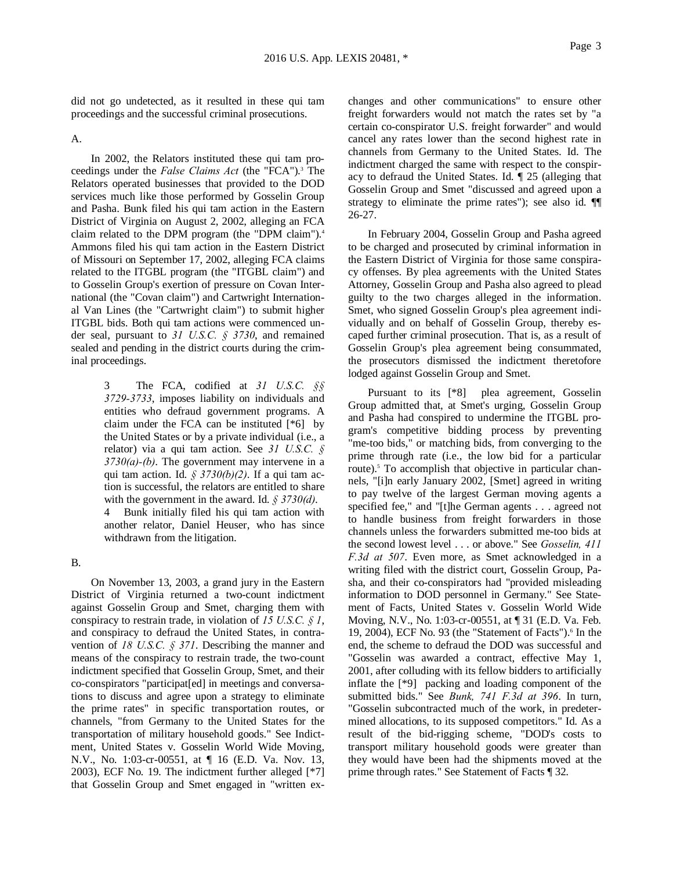did not go undetected, as it resulted in these qui tam proceedings and the successful criminal prosecutions.

A.

In 2002, the Relators instituted these qui tam proceedings under the *False Claims Act* (the "FCA").<sup>3</sup> The Relators operated businesses that provided to the DOD services much like those performed by Gosselin Group and Pasha. Bunk filed his qui tam action in the Eastern District of Virginia on August 2, 2002, alleging an FCA claim related to the DPM program (the "DPM claim").<sup>4</sup> Ammons filed his qui tam action in the Eastern District of Missouri on September 17, 2002, alleging FCA claims related to the ITGBL program (the "ITGBL claim") and to Gosselin Group's exertion of pressure on Covan International (the "Covan claim") and Cartwright International Van Lines (the "Cartwright claim") to submit higher ITGBL bids. Both qui tam actions were commenced under seal, pursuant to *31 U.S.C. § 3730*, and remained sealed and pending in the district courts during the criminal proceedings.

> 3 The FCA, codified at *31 U.S.C. §§ 3729-3733*, imposes liability on individuals and entities who defraud government programs. A claim under the FCA can be instituted [\*6] by the United States or by a private individual (i.e., a relator) via a qui tam action. See *31 U.S.C. § 3730(a)-(b)*. The government may intervene in a qui tam action. Id. *§ 3730(b)(2)*. If a qui tam action is successful, the relators are entitled to share with the government in the award. Id. *§ 3730(d)*.

> 4 Bunk initially filed his qui tam action with another relator, Daniel Heuser, who has since withdrawn from the litigation.

## B.

On November 13, 2003, a grand jury in the Eastern District of Virginia returned a two-count indictment against Gosselin Group and Smet, charging them with conspiracy to restrain trade, in violation of *15 U.S.C. § 1*, and conspiracy to defraud the United States, in contravention of *18 U.S.C. § 371*. Describing the manner and means of the conspiracy to restrain trade, the two-count indictment specified that Gosselin Group, Smet, and their co-conspirators "participat[ed] in meetings and conversations to discuss and agree upon a strategy to eliminate the prime rates" in specific transportation routes, or channels, "from Germany to the United States for the transportation of military household goods." See Indictment, United States v. Gosselin World Wide Moving, N.V., No. 1:03-cr-00551, at ¶ 16 (E.D. Va. Nov. 13, 2003), ECF No. 19. The indictment further alleged [\*7] that Gosselin Group and Smet engaged in "written exchanges and other communications" to ensure other freight forwarders would not match the rates set by "a certain co-conspirator U.S. freight forwarder" and would cancel any rates lower than the second highest rate in channels from Germany to the United States. Id. The indictment charged the same with respect to the conspiracy to defraud the United States. Id. ¶ 25 (alleging that Gosselin Group and Smet "discussed and agreed upon a strategy to eliminate the prime rates"); see also id. ¶¶ 26-27.

In February 2004, Gosselin Group and Pasha agreed to be charged and prosecuted by criminal information in the Eastern District of Virginia for those same conspiracy offenses. By plea agreements with the United States Attorney, Gosselin Group and Pasha also agreed to plead guilty to the two charges alleged in the information. Smet, who signed Gosselin Group's plea agreement individually and on behalf of Gosselin Group, thereby escaped further criminal prosecution. That is, as a result of Gosselin Group's plea agreement being consummated, the prosecutors dismissed the indictment theretofore lodged against Gosselin Group and Smet.

Pursuant to its [\*8] plea agreement, Gosselin Group admitted that, at Smet's urging, Gosselin Group and Pasha had conspired to undermine the ITGBL program's competitive bidding process by preventing "me-too bids," or matching bids, from converging to the prime through rate (i.e., the low bid for a particular route).<sup>5</sup> To accomplish that objective in particular channels, "[i]n early January 2002, [Smet] agreed in writing to pay twelve of the largest German moving agents a specified fee," and "[t]he German agents . . . agreed not to handle business from freight forwarders in those channels unless the forwarders submitted me-too bids at the second lowest level . . . or above." See *Gosselin, 411 F.3d at 507*. Even more, as Smet acknowledged in a writing filed with the district court, Gosselin Group, Pasha, and their co-conspirators had "provided misleading information to DOD personnel in Germany." See Statement of Facts, United States v. Gosselin World Wide Moving, N.V., No. 1:03-cr-00551, at ¶ 31 (E.D. Va. Feb. 19, 2004), ECF No. 93 (the "Statement of Facts"). $6$  In the end, the scheme to defraud the DOD was successful and "Gosselin was awarded a contract, effective May 1, 2001, after colluding with its fellow bidders to artificially inflate the [\*9] packing and loading component of the submitted bids." See *Bunk, 741 F.3d at 396*. In turn, "Gosselin subcontracted much of the work, in predetermined allocations, to its supposed competitors." Id. As a result of the bid-rigging scheme, "DOD's costs to transport military household goods were greater than they would have been had the shipments moved at the prime through rates." See Statement of Facts ¶ 32.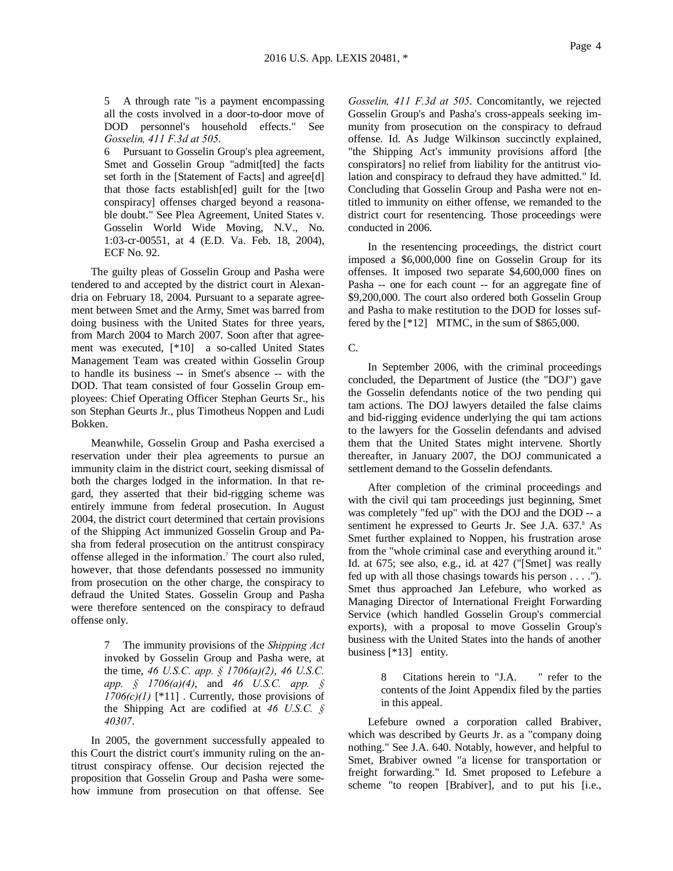5 A through rate "is a payment encompassing all the costs involved in a door-to-door move of DOD personnel's household effects." See *Gosselin, 411 F.3d at 505*.

6 Pursuant to Gosselin Group's plea agreement, Smet and Gosselin Group "admit[ted] the facts set forth in the [Statement of Facts] and agree[d] that those facts establish[ed] guilt for the [two conspiracy] offenses charged beyond a reasonable doubt." See Plea Agreement, United States v. Gosselin World Wide Moving, N.V., No. 1:03-cr-00551, at 4 (E.D. Va. Feb. 18, 2004), ECF No. 92.

The guilty pleas of Gosselin Group and Pasha were tendered to and accepted by the district court in Alexandria on February 18, 2004. Pursuant to a separate agreement between Smet and the Army, Smet was barred from doing business with the United States for three years, from March 2004 to March 2007. Soon after that agreement was executed, [\*10] a so-called United States Management Team was created within Gosselin Group to handle its business -- in Smet's absence -- with the DOD. That team consisted of four Gosselin Group employees: Chief Operating Officer Stephan Geurts Sr., his son Stephan Geurts Jr., plus Timotheus Noppen and Ludi Bokken.

Meanwhile, Gosselin Group and Pasha exercised a reservation under their plea agreements to pursue an immunity claim in the district court, seeking dismissal of both the charges lodged in the information. In that regard, they asserted that their bid-rigging scheme was entirely immune from federal prosecution. In August 2004, the district court determined that certain provisions of the Shipping Act immunized Gosselin Group and Pasha from federal prosecution on the antitrust conspiracy offense alleged in the information. <sup>7</sup> The court also ruled, however, that those defendants possessed no immunity from prosecution on the other charge, the conspiracy to defraud the United States. Gosselin Group and Pasha were therefore sentenced on the conspiracy to defraud offense only.

> 7 The immunity provisions of the *Shipping Act* invoked by Gosselin Group and Pasha were, at the time, *46 U.S.C. app. § 1706(a)(2)*, *46 U.S.C. app. § 1706(a)(4)*, and *46 U.S.C. app. §*   $1706(c)(1)$  [\*11]. Currently, those provisions of the Shipping Act are codified at *46 U.S.C. § 40307*.

In 2005, the government successfully appealed to this Court the district court's immunity ruling on the antitrust conspiracy offense. Our decision rejected the proposition that Gosselin Group and Pasha were somehow immune from prosecution on that offense. See

*Gosselin, 411 F.3d at 505*. Concomitantly, we rejected Gosselin Group's and Pasha's cross-appeals seeking immunity from prosecution on the conspiracy to defraud offense. Id. As Judge Wilkinson succinctly explained, "the Shipping Act's immunity provisions afford [the conspirators] no relief from liability for the antitrust violation and conspiracy to defraud they have admitted." Id. Concluding that Gosselin Group and Pasha were not entitled to immunity on either offense, we remanded to the district court for resentencing. Those proceedings were conducted in 2006.

In the resentencing proceedings, the district court imposed a \$6,000,000 fine on Gosselin Group for its offenses. It imposed two separate \$4,600,000 fines on Pasha -- one for each count -- for an aggregate fine of \$9,200,000. The court also ordered both Gosselin Group and Pasha to make restitution to the DOD for losses suffered by the  $[*12]$  MTMC, in the sum of \$865,000.

#### C.

In September 2006, with the criminal proceedings concluded, the Department of Justice (the "DOJ") gave the Gosselin defendants notice of the two pending qui tam actions. The DOJ lawyers detailed the false claims and bid-rigging evidence underlying the qui tam actions to the lawyers for the Gosselin defendants and advised them that the United States might intervene. Shortly thereafter, in January 2007, the DOJ communicated a settlement demand to the Gosselin defendants.

After completion of the criminal proceedings and with the civil qui tam proceedings just beginning, Smet was completely "fed up" with the DOJ and the DOD -- a sentiment he expressed to Geurts Jr. See J.A. 637.8 As Smet further explained to Noppen, his frustration arose from the "whole criminal case and everything around it." Id. at 675; see also, e.g., id. at 427 ("[Smet] was really fed up with all those chasings towards his person . . . ."). Smet thus approached Jan Lefebure, who worked as Managing Director of International Freight Forwarding Service (which handled Gosselin Group's commercial exports), with a proposal to move Gosselin Group's business with the United States into the hands of another business [\*13] entity.

> 8 Citations herein to "J.A. " refer to the contents of the Joint Appendix filed by the parties in this appeal.

Lefebure owned a corporation called Brabiver, which was described by Geurts Jr. as a "company doing nothing." See J.A. 640. Notably, however, and helpful to Smet, Brabiver owned "a license for transportation or freight forwarding." Id. Smet proposed to Lefebure a scheme "to reopen [Brabiver], and to put his [i.e.,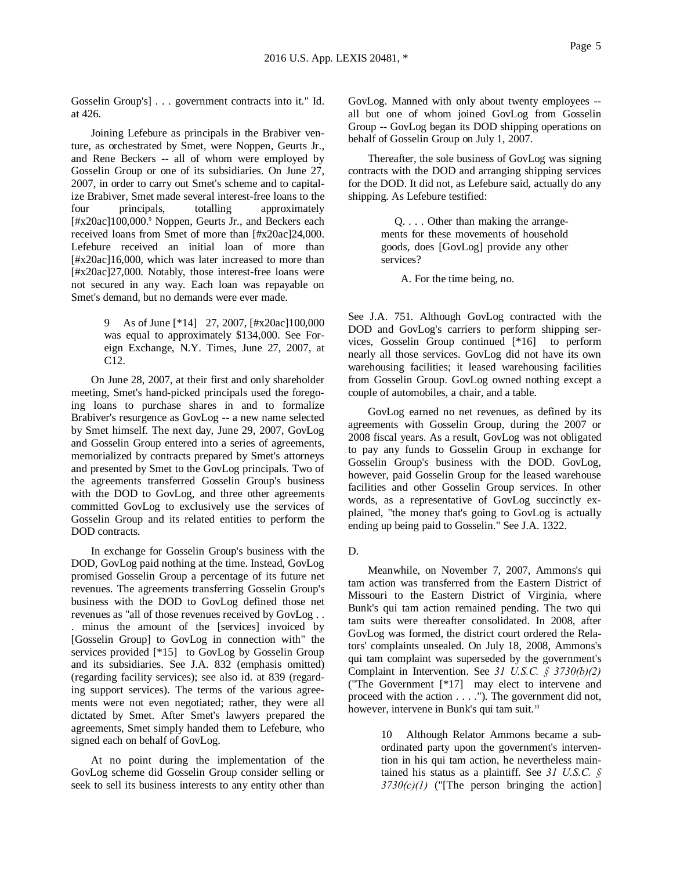Gosselin Group's] . . . government contracts into it." Id. at 426.

Joining Lefebure as principals in the Brabiver venture, as orchestrated by Smet, were Noppen, Geurts Jr., and Rene Beckers -- all of whom were employed by Gosselin Group or one of its subsidiaries. On June 27, 2007, in order to carry out Smet's scheme and to capitalize Brabiver, Smet made several interest-free loans to the four principals, totalling approximately [#x20ac]100,000.<sup>9</sup> Noppen, Geurts Jr., and Beckers each received loans from Smet of more than [#x20ac]24,000. Lefebure received an initial loan of more than [#x20ac]16,000, which was later increased to more than [#x20ac]27,000. Notably, those interest-free loans were not secured in any way. Each loan was repayable on Smet's demand, but no demands were ever made.

> 9 As of June [\*14] 27, 2007, [#x20ac]100,000 was equal to approximately \$134,000. See Foreign Exchange, N.Y. Times, June 27, 2007, at C12.

On June 28, 2007, at their first and only shareholder meeting, Smet's hand-picked principals used the foregoing loans to purchase shares in and to formalize Brabiver's resurgence as GovLog -- a new name selected by Smet himself. The next day, June 29, 2007, GovLog and Gosselin Group entered into a series of agreements, memorialized by contracts prepared by Smet's attorneys and presented by Smet to the GovLog principals. Two of the agreements transferred Gosselin Group's business with the DOD to GovLog, and three other agreements committed GovLog to exclusively use the services of Gosselin Group and its related entities to perform the DOD contracts.

In exchange for Gosselin Group's business with the DOD, GovLog paid nothing at the time. Instead, GovLog promised Gosselin Group a percentage of its future net revenues. The agreements transferring Gosselin Group's business with the DOD to GovLog defined those net revenues as "all of those revenues received by GovLog . . . minus the amount of the [services] invoiced by [Gosselin Group] to GovLog in connection with" the services provided [\*15] to GovLog by Gosselin Group and its subsidiaries. See J.A. 832 (emphasis omitted) (regarding facility services); see also id. at 839 (regarding support services). The terms of the various agreements were not even negotiated; rather, they were all dictated by Smet. After Smet's lawyers prepared the agreements, Smet simply handed them to Lefebure, who signed each on behalf of GovLog.

At no point during the implementation of the GovLog scheme did Gosselin Group consider selling or seek to sell its business interests to any entity other than GovLog. Manned with only about twenty employees - all but one of whom joined GovLog from Gosselin Group -- GovLog began its DOD shipping operations on behalf of Gosselin Group on July 1, 2007.

Thereafter, the sole business of GovLog was signing contracts with the DOD and arranging shipping services for the DOD. It did not, as Lefebure said, actually do any shipping. As Lefebure testified:

> Q. . . . Other than making the arrangements for these movements of household goods, does [GovLog] provide any other services?

> > A. For the time being, no.

See J.A. 751. Although GovLog contracted with the DOD and GovLog's carriers to perform shipping services, Gosselin Group continued [\*16] to perform nearly all those services. GovLog did not have its own warehousing facilities; it leased warehousing facilities from Gosselin Group. GovLog owned nothing except a couple of automobiles, a chair, and a table.

GovLog earned no net revenues, as defined by its agreements with Gosselin Group, during the 2007 or 2008 fiscal years. As a result, GovLog was not obligated to pay any funds to Gosselin Group in exchange for Gosselin Group's business with the DOD. GovLog, however, paid Gosselin Group for the leased warehouse facilities and other Gosselin Group services. In other words, as a representative of GovLog succinctly explained, "the money that's going to GovLog is actually ending up being paid to Gosselin." See J.A. 1322.

D.

Meanwhile, on November 7, 2007, Ammons's qui tam action was transferred from the Eastern District of Missouri to the Eastern District of Virginia, where Bunk's qui tam action remained pending. The two qui tam suits were thereafter consolidated. In 2008, after GovLog was formed, the district court ordered the Relators' complaints unsealed. On July 18, 2008, Ammons's qui tam complaint was superseded by the government's Complaint in Intervention. See *31 U.S.C. § 3730(b)(2)* ("The Government [\*17] may elect to intervene and proceed with the action . . . ."). The government did not, however, intervene in Bunk's qui tam suit.<sup>10</sup>

> 10 Although Relator Ammons became a subordinated party upon the government's intervention in his qui tam action, he nevertheless maintained his status as a plaintiff. See *31 U.S.C. § 3730(c)(1)* ("[The person bringing the action]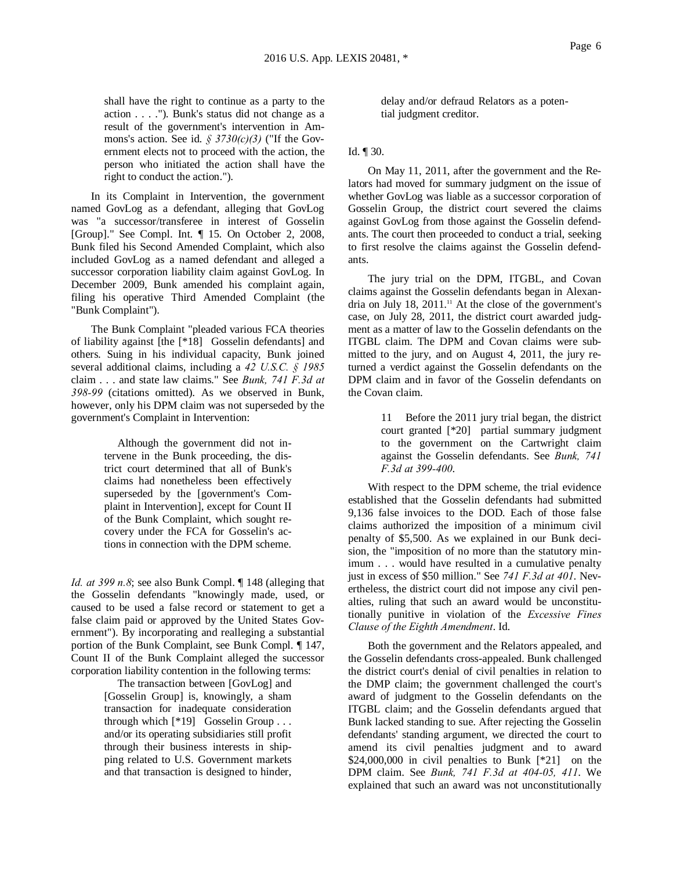shall have the right to continue as a party to the action . . . ."). Bunk's status did not change as a result of the government's intervention in Ammons's action. See id. *§ 3730(c)(3)* ("If the Government elects not to proceed with the action, the person who initiated the action shall have the right to conduct the action.").

In its Complaint in Intervention, the government named GovLog as a defendant, alleging that GovLog was "a successor/transferee in interest of Gosselin [Group]." See Compl. Int. ¶ 15. On October 2, 2008, Bunk filed his Second Amended Complaint, which also included GovLog as a named defendant and alleged a successor corporation liability claim against GovLog. In December 2009, Bunk amended his complaint again, filing his operative Third Amended Complaint (the "Bunk Complaint").

The Bunk Complaint "pleaded various FCA theories of liability against [the [\*18] Gosselin defendants] and others. Suing in his individual capacity, Bunk joined several additional claims, including a *42 U.S.C. § 1985* claim . . . and state law claims." See *Bunk, 741 F.3d at 398-99* (citations omitted). As we observed in Bunk, however, only his DPM claim was not superseded by the government's Complaint in Intervention:

> Although the government did not intervene in the Bunk proceeding, the district court determined that all of Bunk's claims had nonetheless been effectively superseded by the [government's Complaint in Intervention], except for Count II of the Bunk Complaint, which sought recovery under the FCA for Gosselin's actions in connection with the DPM scheme.

*Id. at 399 n.8*; see also Bunk Compl. *[148 (alleging that* the Gosselin defendants "knowingly made, used, or caused to be used a false record or statement to get a false claim paid or approved by the United States Government"). By incorporating and realleging a substantial portion of the Bunk Complaint, see Bunk Compl. ¶ 147, Count II of the Bunk Complaint alleged the successor corporation liability contention in the following terms:

 The transaction between [GovLog] and [Gosselin Group] is, knowingly, a sham transaction for inadequate consideration through which [\*19] Gosselin Group . . . and/or its operating subsidiaries still profit through their business interests in shipping related to U.S. Government markets and that transaction is designed to hinder,

delay and/or defraud Relators as a potential judgment creditor.

# Id. ¶ 30.

On May 11, 2011, after the government and the Relators had moved for summary judgment on the issue of whether GovLog was liable as a successor corporation of Gosselin Group, the district court severed the claims against GovLog from those against the Gosselin defendants. The court then proceeded to conduct a trial, seeking to first resolve the claims against the Gosselin defendants.

The jury trial on the DPM, ITGBL, and Covan claims against the Gosselin defendants began in Alexandria on July 18,  $2011$ .<sup>11</sup> At the close of the government's case, on July 28, 2011, the district court awarded judgment as a matter of law to the Gosselin defendants on the ITGBL claim. The DPM and Covan claims were submitted to the jury, and on August 4, 2011, the jury returned a verdict against the Gosselin defendants on the DPM claim and in favor of the Gosselin defendants on the Covan claim.

> 11 Before the 2011 jury trial began, the district court granted [\*20] partial summary judgment to the government on the Cartwright claim against the Gosselin defendants. See *Bunk, 741 F.3d at 399-400*.

With respect to the DPM scheme, the trial evidence established that the Gosselin defendants had submitted 9,136 false invoices to the DOD. Each of those false claims authorized the imposition of a minimum civil penalty of \$5,500. As we explained in our Bunk decision, the "imposition of no more than the statutory minimum . . . would have resulted in a cumulative penalty just in excess of \$50 million." See *741 F.3d at 401*. Nevertheless, the district court did not impose any civil penalties, ruling that such an award would be unconstitutionally punitive in violation of the *Excessive Fines Clause of the Eighth Amendment*. Id.

Both the government and the Relators appealed, and the Gosselin defendants cross-appealed. Bunk challenged the district court's denial of civil penalties in relation to the DMP claim; the government challenged the court's award of judgment to the Gosselin defendants on the ITGBL claim; and the Gosselin defendants argued that Bunk lacked standing to sue. After rejecting the Gosselin defendants' standing argument, we directed the court to amend its civil penalties judgment and to award  $$24,000,000$  in civil penalties to Bunk  $[*21]$  on the DPM claim. See *Bunk, 741 F.3d at 404-05, 411*. We explained that such an award was not unconstitutionally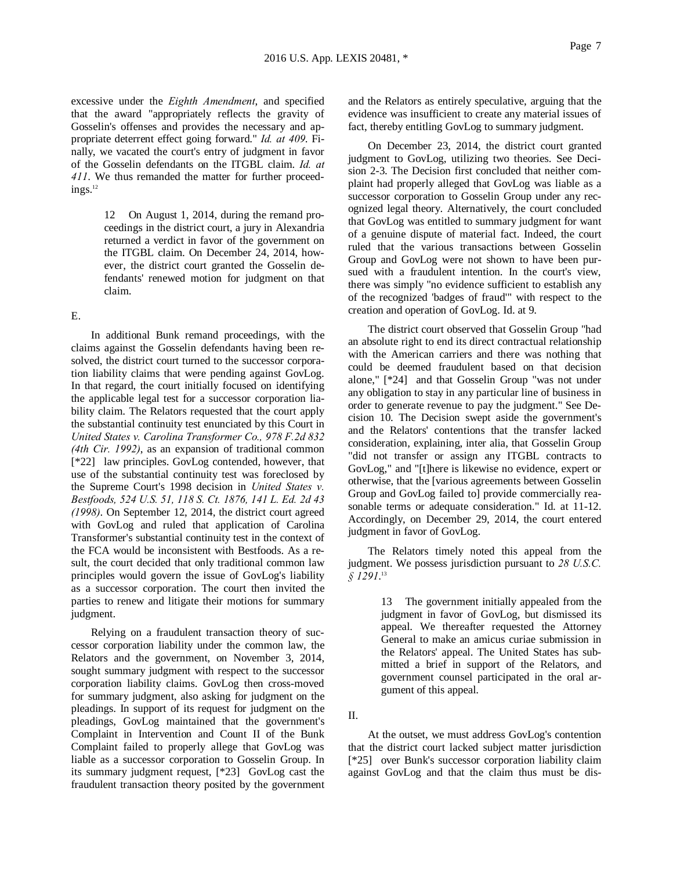excessive under the *Eighth Amendment*, and specified that the award "appropriately reflects the gravity of Gosselin's offenses and provides the necessary and appropriate deterrent effect going forward." *Id. at 409*. Finally, we vacated the court's entry of judgment in favor of the Gosselin defendants on the ITGBL claim. *Id. at 411*. We thus remanded the matter for further proceed $ings.<sup>12</sup>$ 

> 12 On August 1, 2014, during the remand proceedings in the district court, a jury in Alexandria returned a verdict in favor of the government on the ITGBL claim. On December 24, 2014, however, the district court granted the Gosselin defendants' renewed motion for judgment on that claim.

### E.

In additional Bunk remand proceedings, with the claims against the Gosselin defendants having been resolved, the district court turned to the successor corporation liability claims that were pending against GovLog. In that regard, the court initially focused on identifying the applicable legal test for a successor corporation liability claim. The Relators requested that the court apply the substantial continuity test enunciated by this Court in *United States v. Carolina Transformer Co., 978 F.2d 832 (4th Cir. 1992)*, as an expansion of traditional common [\*22] law principles. GovLog contended, however, that use of the substantial continuity test was foreclosed by the Supreme Court's 1998 decision in *United States v. Bestfoods, 524 U.S. 51, 118 S. Ct. 1876, 141 L. Ed. 2d 43 (1998)*. On September 12, 2014, the district court agreed with GovLog and ruled that application of Carolina Transformer's substantial continuity test in the context of the FCA would be inconsistent with Bestfoods. As a result, the court decided that only traditional common law principles would govern the issue of GovLog's liability as a successor corporation. The court then invited the parties to renew and litigate their motions for summary judgment.

Relying on a fraudulent transaction theory of successor corporation liability under the common law, the Relators and the government, on November 3, 2014, sought summary judgment with respect to the successor corporation liability claims. GovLog then cross-moved for summary judgment, also asking for judgment on the pleadings. In support of its request for judgment on the pleadings, GovLog maintained that the government's Complaint in Intervention and Count II of the Bunk Complaint failed to properly allege that GovLog was liable as a successor corporation to Gosselin Group. In its summary judgment request, [\*23] GovLog cast the fraudulent transaction theory posited by the government

and the Relators as entirely speculative, arguing that the evidence was insufficient to create any material issues of fact, thereby entitling GovLog to summary judgment.

On December 23, 2014, the district court granted judgment to GovLog, utilizing two theories. See Decision 2-3. The Decision first concluded that neither complaint had properly alleged that GovLog was liable as a successor corporation to Gosselin Group under any recognized legal theory. Alternatively, the court concluded that GovLog was entitled to summary judgment for want of a genuine dispute of material fact. Indeed, the court ruled that the various transactions between Gosselin Group and GovLog were not shown to have been pursued with a fraudulent intention. In the court's view, there was simply "no evidence sufficient to establish any of the recognized 'badges of fraud'" with respect to the creation and operation of GovLog. Id. at 9.

The district court observed that Gosselin Group "had an absolute right to end its direct contractual relationship with the American carriers and there was nothing that could be deemed fraudulent based on that decision alone," [\*24] and that Gosselin Group "was not under any obligation to stay in any particular line of business in order to generate revenue to pay the judgment." See Decision 10. The Decision swept aside the government's and the Relators' contentions that the transfer lacked consideration, explaining, inter alia, that Gosselin Group "did not transfer or assign any ITGBL contracts to GovLog," and "[t]here is likewise no evidence, expert or otherwise, that the [various agreements between Gosselin Group and GovLog failed to] provide commercially reasonable terms or adequate consideration." Id. at 11-12. Accordingly, on December 29, 2014, the court entered judgment in favor of GovLog.

The Relators timely noted this appeal from the judgment. We possess jurisdiction pursuant to *28 U.S.C. § 1291*. 13

> 13 The government initially appealed from the judgment in favor of GovLog, but dismissed its appeal. We thereafter requested the Attorney General to make an amicus curiae submission in the Relators' appeal. The United States has submitted a brief in support of the Relators, and government counsel participated in the oral argument of this appeal.

II.

At the outset, we must address GovLog's contention that the district court lacked subject matter jurisdiction [\*25] over Bunk's successor corporation liability claim against GovLog and that the claim thus must be dis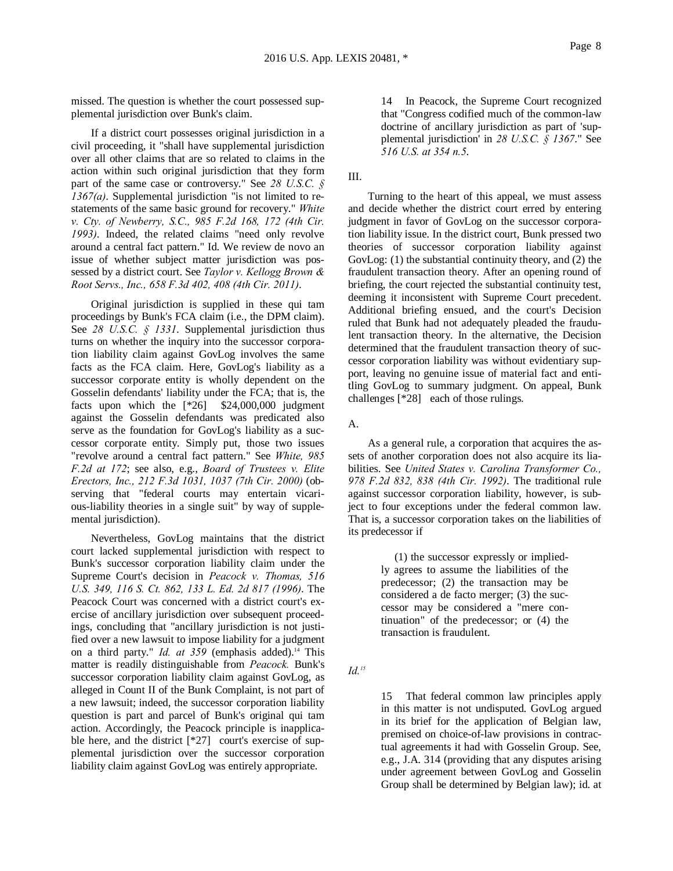missed. The question is whether the court possessed supplemental jurisdiction over Bunk's claim.

If a district court possesses original jurisdiction in a civil proceeding, it "shall have supplemental jurisdiction over all other claims that are so related to claims in the action within such original jurisdiction that they form part of the same case or controversy." See *28 U.S.C. § 1367(a)*. Supplemental jurisdiction "is not limited to restatements of the same basic ground for recovery." *White v. Cty. of Newberry, S.C., 985 F.2d 168, 172 (4th Cir. 1993)*. Indeed, the related claims "need only revolve around a central fact pattern." Id. We review de novo an issue of whether subject matter jurisdiction was possessed by a district court. See *Taylor v. Kellogg Brown & Root Servs., Inc., 658 F.3d 402, 408 (4th Cir. 2011)*.

Original jurisdiction is supplied in these qui tam proceedings by Bunk's FCA claim (i.e., the DPM claim). See *28 U.S.C. § 1331*. Supplemental jurisdiction thus turns on whether the inquiry into the successor corporation liability claim against GovLog involves the same facts as the FCA claim. Here, GovLog's liability as a successor corporate entity is wholly dependent on the Gosselin defendants' liability under the FCA; that is, the facts upon which the [\*26] \$24,000,000 judgment against the Gosselin defendants was predicated also serve as the foundation for GovLog's liability as a successor corporate entity. Simply put, those two issues "revolve around a central fact pattern." See *White, 985 F.2d at 172*; see also, e.g., *Board of Trustees v. Elite Erectors, Inc., 212 F.3d 1031, 1037 (7th Cir. 2000)* (observing that "federal courts may entertain vicarious-liability theories in a single suit" by way of supplemental jurisdiction).

Nevertheless, GovLog maintains that the district court lacked supplemental jurisdiction with respect to Bunk's successor corporation liability claim under the Supreme Court's decision in *Peacock v. Thomas, 516 U.S. 349, 116 S. Ct. 862, 133 L. Ed. 2d 817 (1996)*. The Peacock Court was concerned with a district court's exercise of ancillary jurisdiction over subsequent proceedings, concluding that "ancillary jurisdiction is not justified over a new lawsuit to impose liability for a judgment on a third party." *Id. at 359* (emphasis added).<sup>14</sup> This matter is readily distinguishable from *Peacock.* Bunk's successor corporation liability claim against GovLog, as alleged in Count II of the Bunk Complaint, is not part of a new lawsuit; indeed, the successor corporation liability question is part and parcel of Bunk's original qui tam action. Accordingly, the Peacock principle is inapplicable here, and the district [\*27] court's exercise of supplemental jurisdiction over the successor corporation liability claim against GovLog was entirely appropriate.

14 In Peacock, the Supreme Court recognized that "Congress codified much of the common-law doctrine of ancillary jurisdiction as part of 'supplemental jurisdiction' in *28 U.S.C. § 1367*." See *516 U.S. at 354 n.5*.

III.

Turning to the heart of this appeal, we must assess and decide whether the district court erred by entering judgment in favor of GovLog on the successor corporation liability issue. In the district court, Bunk pressed two theories of successor corporation liability against GovLog: (1) the substantial continuity theory, and (2) the fraudulent transaction theory. After an opening round of briefing, the court rejected the substantial continuity test, deeming it inconsistent with Supreme Court precedent. Additional briefing ensued, and the court's Decision ruled that Bunk had not adequately pleaded the fraudulent transaction theory. In the alternative, the Decision determined that the fraudulent transaction theory of successor corporation liability was without evidentiary support, leaving no genuine issue of material fact and entitling GovLog to summary judgment. On appeal, Bunk challenges [\*28] each of those rulings.

A.

As a general rule, a corporation that acquires the assets of another corporation does not also acquire its liabilities. See *United States v. Carolina Transformer Co., 978 F.2d 832, 838 (4th Cir. 1992)*. The traditional rule against successor corporation liability, however, is subject to four exceptions under the federal common law. That is, a successor corporation takes on the liabilities of its predecessor if

> (1) the successor expressly or impliedly agrees to assume the liabilities of the predecessor; (2) the transaction may be considered a de facto merger; (3) the successor may be considered a "mere continuation" of the predecessor; or (4) the transaction is fraudulent.

*Id.15*

15 That federal common law principles apply in this matter is not undisputed. GovLog argued in its brief for the application of Belgian law, premised on choice-of-law provisions in contractual agreements it had with Gosselin Group. See, e.g., J.A. 314 (providing that any disputes arising under agreement between GovLog and Gosselin Group shall be determined by Belgian law); id. at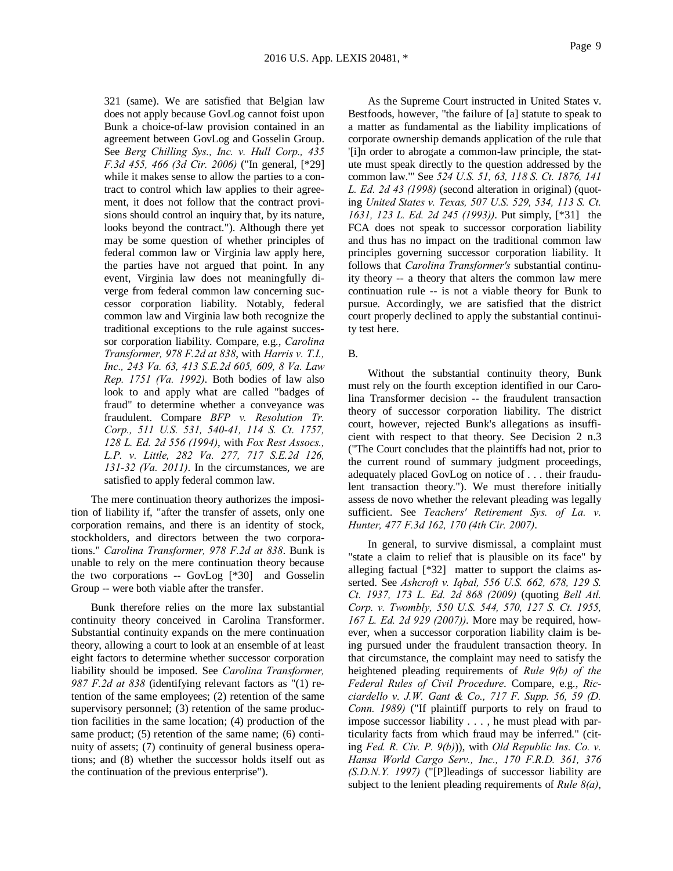321 (same). We are satisfied that Belgian law does not apply because GovLog cannot foist upon Bunk a choice-of-law provision contained in an agreement between GovLog and Gosselin Group. See *Berg Chilling Sys., Inc. v. Hull Corp., 435 F.3d 455, 466 (3d Cir. 2006)* ("In general, [\*29] while it makes sense to allow the parties to a contract to control which law applies to their agreement, it does not follow that the contract provisions should control an inquiry that, by its nature, looks beyond the contract."). Although there yet may be some question of whether principles of federal common law or Virginia law apply here, the parties have not argued that point. In any event, Virginia law does not meaningfully diverge from federal common law concerning successor corporation liability. Notably, federal common law and Virginia law both recognize the traditional exceptions to the rule against successor corporation liability. Compare, e.g., *Carolina Transformer, 978 F.2d at 838*, with *Harris v. T.I., Inc., 243 Va. 63, 413 S.E.2d 605, 609, 8 Va. Law Rep. 1751 (Va. 1992)*. Both bodies of law also look to and apply what are called "badges of fraud" to determine whether a conveyance was fraudulent. Compare *BFP v. Resolution Tr. Corp., 511 U.S. 531, 540-41, 114 S. Ct. 1757, 128 L. Ed. 2d 556 (1994)*, with *Fox Rest Assocs., L.P. v. Little, 282 Va. 277, 717 S.E.2d 126, 131-32 (Va. 2011)*. In the circumstances, we are satisfied to apply federal common law.

The mere continuation theory authorizes the imposition of liability if, "after the transfer of assets, only one corporation remains, and there is an identity of stock, stockholders, and directors between the two corporations." *Carolina Transformer, 978 F.2d at 838*. Bunk is unable to rely on the mere continuation theory because the two corporations -- GovLog [\*30] and Gosselin Group -- were both viable after the transfer.

Bunk therefore relies on the more lax substantial continuity theory conceived in Carolina Transformer. Substantial continuity expands on the mere continuation theory, allowing a court to look at an ensemble of at least eight factors to determine whether successor corporation liability should be imposed. See *Carolina Transformer, 987 F.2d at 838* (identifying relevant factors as "(1) retention of the same employees; (2) retention of the same supervisory personnel; (3) retention of the same production facilities in the same location; (4) production of the same product; (5) retention of the same name; (6) continuity of assets; (7) continuity of general business operations; and (8) whether the successor holds itself out as the continuation of the previous enterprise").

As the Supreme Court instructed in United States v. Bestfoods, however, "the failure of [a] statute to speak to a matter as fundamental as the liability implications of corporate ownership demands application of the rule that '[i]n order to abrogate a common-law principle, the statute must speak directly to the question addressed by the common law.'" See *524 U.S. 51, 63, 118 S. Ct. 1876, 141 L. Ed. 2d 43 (1998)* (second alteration in original) (quoting *United States v. Texas, 507 U.S. 529, 534, 113 S. Ct. 1631, 123 L. Ed. 2d 245 (1993))*. Put simply, [\*31] the FCA does not speak to successor corporation liability and thus has no impact on the traditional common law principles governing successor corporation liability. It follows that *Carolina Transformer's* substantial continuity theory -- a theory that alters the common law mere continuation rule -- is not a viable theory for Bunk to pursue. Accordingly, we are satisfied that the district court properly declined to apply the substantial continuity test here.

## B.

Without the substantial continuity theory, Bunk must rely on the fourth exception identified in our Carolina Transformer decision -- the fraudulent transaction theory of successor corporation liability. The district court, however, rejected Bunk's allegations as insufficient with respect to that theory. See Decision 2 n.3 ("The Court concludes that the plaintiffs had not, prior to the current round of summary judgment proceedings, adequately placed GovLog on notice of . . . their fraudulent transaction theory."). We must therefore initially assess de novo whether the relevant pleading was legally sufficient. See *Teachers' Retirement Sys. of La. v. Hunter, 477 F.3d 162, 170 (4th Cir. 2007)*.

In general, to survive dismissal, a complaint must "state a claim to relief that is plausible on its face" by alleging factual [\*32] matter to support the claims asserted. See *Ashcroft v. Iqbal, 556 U.S. 662, 678, 129 S. Ct. 1937, 173 L. Ed. 2d 868 (2009)* (quoting *Bell Atl. Corp. v. Twombly, 550 U.S. 544, 570, 127 S. Ct. 1955, 167 L. Ed. 2d 929 (2007))*. More may be required, however, when a successor corporation liability claim is being pursued under the fraudulent transaction theory. In that circumstance, the complaint may need to satisfy the heightened pleading requirements of *Rule 9(b) of the Federal Rules of Civil Procedure*. Compare, e.g., *Ricciardello v. J.W. Gant & Co., 717 F. Supp. 56, 59 (D. Conn. 1989)* ("If plaintiff purports to rely on fraud to impose successor liability . . . , he must plead with particularity facts from which fraud may be inferred." (citing *Fed. R. Civ. P. 9(b)*)), with *Old Republic Ins. Co. v. Hansa World Cargo Serv., Inc., 170 F.R.D. 361, 376 (S.D.N.Y. 1997)* ("[P]leadings of successor liability are subject to the lenient pleading requirements of *Rule 8(a)*,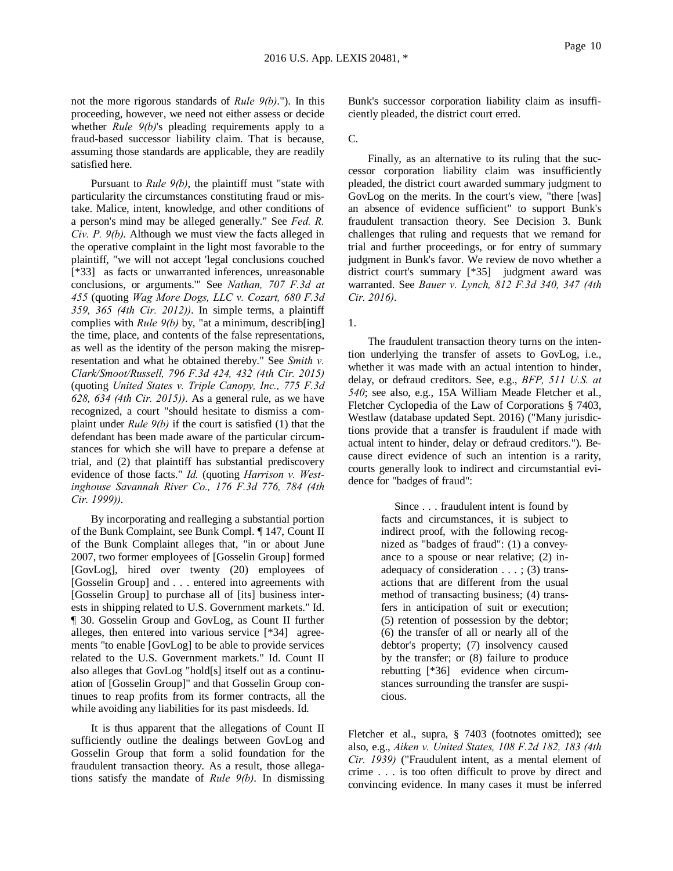not the more rigorous standards of *Rule 9(b)*."). In this proceeding, however, we need not either assess or decide whether *Rule 9(b)*'s pleading requirements apply to a fraud-based successor liability claim. That is because, assuming those standards are applicable, they are readily satisfied here.

Pursuant to *Rule 9(b)*, the plaintiff must "state with particularity the circumstances constituting fraud or mistake. Malice, intent, knowledge, and other conditions of a person's mind may be alleged generally." See *Fed. R. Civ. P. 9(b)*. Although we must view the facts alleged in the operative complaint in the light most favorable to the plaintiff, "we will not accept 'legal conclusions couched [\*33] as facts or unwarranted inferences, unreasonable conclusions, or arguments.'" See *Nathan, 707 F.3d at 455* (quoting *Wag More Dogs, LLC v. Cozart, 680 F.3d 359, 365 (4th Cir. 2012))*. In simple terms, a plaintiff complies with *Rule 9(b)* by, "at a minimum, describ[ing] the time, place, and contents of the false representations, as well as the identity of the person making the misrepresentation and what he obtained thereby." See *Smith v. Clark/Smoot/Russell, 796 F.3d 424, 432 (4th Cir. 2015)* (quoting *United States v. Triple Canopy, Inc., 775 F.3d 628, 634 (4th Cir. 2015))*. As a general rule, as we have recognized, a court "should hesitate to dismiss a complaint under *Rule 9(b)* if the court is satisfied (1) that the defendant has been made aware of the particular circumstances for which she will have to prepare a defense at trial, and (2) that plaintiff has substantial prediscovery evidence of those facts." *Id.* (quoting *Harrison v. Westinghouse Savannah River Co., 176 F.3d 776, 784 (4th Cir. 1999))*.

By incorporating and realleging a substantial portion of the Bunk Complaint, see Bunk Compl. ¶ 147, Count II of the Bunk Complaint alleges that, "in or about June 2007, two former employees of [Gosselin Group] formed [GovLog], hired over twenty (20) employees of [Gosselin Group] and . . . entered into agreements with [Gosselin Group] to purchase all of [its] business interests in shipping related to U.S. Government markets." Id. ¶ 30. Gosselin Group and GovLog, as Count II further alleges, then entered into various service [\*34] agreements "to enable [GovLog] to be able to provide services related to the U.S. Government markets." Id. Count II also alleges that GovLog "hold[s] itself out as a continuation of [Gosselin Group]" and that Gosselin Group continues to reap profits from its former contracts, all the while avoiding any liabilities for its past misdeeds. Id.

It is thus apparent that the allegations of Count II sufficiently outline the dealings between GovLog and Gosselin Group that form a solid foundation for the fraudulent transaction theory. As a result, those allegations satisfy the mandate of *Rule 9(b)*. In dismissing

Bunk's successor corporation liability claim as insufficiently pleaded, the district court erred.

#### C.

Finally, as an alternative to its ruling that the successor corporation liability claim was insufficiently pleaded, the district court awarded summary judgment to GovLog on the merits. In the court's view, "there [was] an absence of evidence sufficient" to support Bunk's fraudulent transaction theory. See Decision 3. Bunk challenges that ruling and requests that we remand for trial and further proceedings, or for entry of summary judgment in Bunk's favor. We review de novo whether a district court's summary [\*35] judgment award was warranted. See *Bauer v. Lynch, 812 F.3d 340, 347 (4th Cir. 2016)*.

1.

The fraudulent transaction theory turns on the intention underlying the transfer of assets to GovLog, i.e., whether it was made with an actual intention to hinder, delay, or defraud creditors. See, e.g., *BFP, 511 U.S. at 540*; see also, e.g., 15A William Meade Fletcher et al., Fletcher Cyclopedia of the Law of Corporations § 7403, Westlaw (database updated Sept. 2016) ("Many jurisdictions provide that a transfer is fraudulent if made with actual intent to hinder, delay or defraud creditors."). Because direct evidence of such an intention is a rarity, courts generally look to indirect and circumstantial evidence for "badges of fraud":

> Since . . . fraudulent intent is found by facts and circumstances, it is subject to indirect proof, with the following recognized as "badges of fraud": (1) a conveyance to a spouse or near relative; (2) inadequacy of consideration . . . ; (3) transactions that are different from the usual method of transacting business; (4) transfers in anticipation of suit or execution; (5) retention of possession by the debtor; (6) the transfer of all or nearly all of the debtor's property; (7) insolvency caused by the transfer; or (8) failure to produce rebutting [\*36] evidence when circumstances surrounding the transfer are suspicious.

Fletcher et al., supra, § 7403 (footnotes omitted); see also, e.g., *Aiken v. United States, 108 F.2d 182, 183 (4th Cir. 1939)* ("Fraudulent intent, as a mental element of crime . . . is too often difficult to prove by direct and convincing evidence. In many cases it must be inferred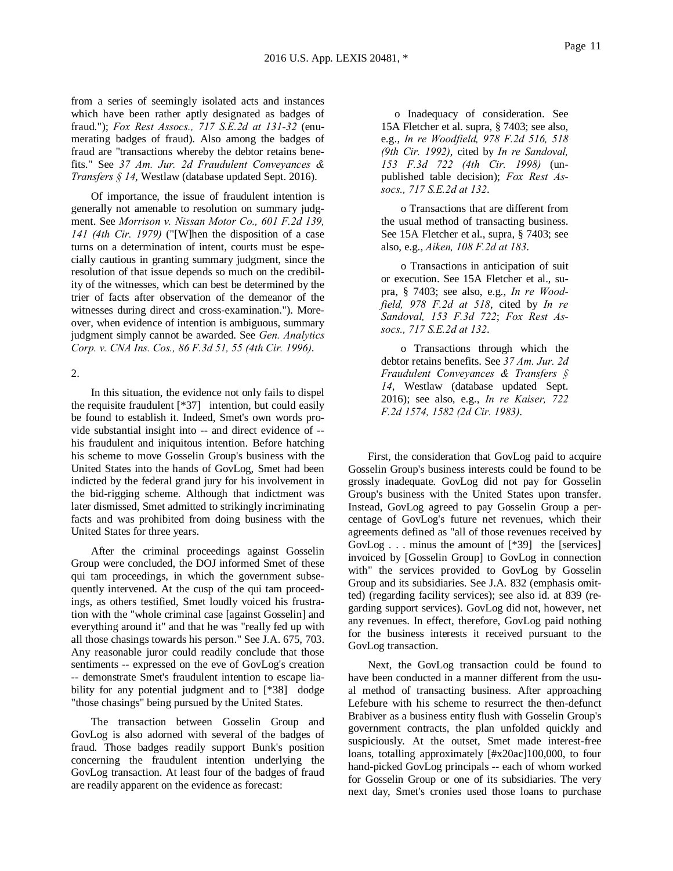from a series of seemingly isolated acts and instances which have been rather aptly designated as badges of fraud."); *Fox Rest Assocs., 717 S.E.2d at 131-32* (enumerating badges of fraud). Also among the badges of fraud are "transactions whereby the debtor retains benefits." See *37 Am. Jur. 2d Fraudulent Conveyances & Transfers § 14*, Westlaw (database updated Sept. 2016).

Of importance, the issue of fraudulent intention is generally not amenable to resolution on summary judgment. See *Morrison v. Nissan Motor Co., 601 F.2d 139, 141 (4th Cir. 1979)* ("[W]hen the disposition of a case turns on a determination of intent, courts must be especially cautious in granting summary judgment, since the resolution of that issue depends so much on the credibility of the witnesses, which can best be determined by the trier of facts after observation of the demeanor of the witnesses during direct and cross-examination."). Moreover, when evidence of intention is ambiguous, summary judgment simply cannot be awarded. See *Gen. Analytics Corp. v. CNA Ins. Cos., 86 F.3d 51, 55 (4th Cir. 1996)*.

### 2.

In this situation, the evidence not only fails to dispel the requisite fraudulent [\*37] intention, but could easily be found to establish it. Indeed, Smet's own words provide substantial insight into -- and direct evidence of - his fraudulent and iniquitous intention. Before hatching his scheme to move Gosselin Group's business with the United States into the hands of GovLog, Smet had been indicted by the federal grand jury for his involvement in the bid-rigging scheme. Although that indictment was later dismissed, Smet admitted to strikingly incriminating facts and was prohibited from doing business with the United States for three years.

After the criminal proceedings against Gosselin Group were concluded, the DOJ informed Smet of these qui tam proceedings, in which the government subsequently intervened. At the cusp of the qui tam proceedings, as others testified, Smet loudly voiced his frustration with the "whole criminal case [against Gosselin] and everything around it" and that he was "really fed up with all those chasings towards his person." See J.A. 675, 703. Any reasonable juror could readily conclude that those sentiments -- expressed on the eve of GovLog's creation -- demonstrate Smet's fraudulent intention to escape liability for any potential judgment and to [\*38] dodge "those chasings" being pursued by the United States.

The transaction between Gosselin Group and GovLog is also adorned with several of the badges of fraud. Those badges readily support Bunk's position concerning the fraudulent intention underlying the GovLog transaction. At least four of the badges of fraud are readily apparent on the evidence as forecast:

 o Inadequacy of consideration. See 15A Fletcher et al. supra, § 7403; see also, e.g., *In re Woodfield, 978 F.2d 516, 518 (9th Cir. 1992)*, cited by *In re Sandoval, 153 F.3d 722 (4th Cir. 1998)* (unpublished table decision); *Fox Rest Assocs., 717 S.E.2d at 132*.

o Transactions that are different from the usual method of transacting business. See 15A Fletcher et al., supra, § 7403; see also, e.g., *Aiken, 108 F.2d at 183*.

o Transactions in anticipation of suit or execution. See 15A Fletcher et al., supra, § 7403; see also, e.g., *In re Woodfield, 978 F.2d at 518*, cited by *In re Sandoval, 153 F.3d 722*; *Fox Rest Assocs., 717 S.E.2d at 132*.

o Transactions through which the debtor retains benefits. See *37 Am. Jur. 2d Fraudulent Conveyances & Transfers § 14*, Westlaw (database updated Sept. 2016); see also, e.g., *In re Kaiser, 722 F.2d 1574, 1582 (2d Cir. 1983)*.

First, the consideration that GovLog paid to acquire Gosselin Group's business interests could be found to be grossly inadequate. GovLog did not pay for Gosselin Group's business with the United States upon transfer. Instead, GovLog agreed to pay Gosselin Group a percentage of GovLog's future net revenues, which their agreements defined as "all of those revenues received by GovLog . . . minus the amount of [\*39] the [services] invoiced by [Gosselin Group] to GovLog in connection with" the services provided to GovLog by Gosselin Group and its subsidiaries. See J.A. 832 (emphasis omitted) (regarding facility services); see also id. at 839 (regarding support services). GovLog did not, however, net any revenues. In effect, therefore, GovLog paid nothing for the business interests it received pursuant to the GovLog transaction.

Next, the GovLog transaction could be found to have been conducted in a manner different from the usual method of transacting business. After approaching Lefebure with his scheme to resurrect the then-defunct Brabiver as a business entity flush with Gosselin Group's government contracts, the plan unfolded quickly and suspiciously. At the outset, Smet made interest-free loans, totalling approximately [#x20ac]100,000, to four hand-picked GovLog principals -- each of whom worked for Gosselin Group or one of its subsidiaries. The very next day, Smet's cronies used those loans to purchase